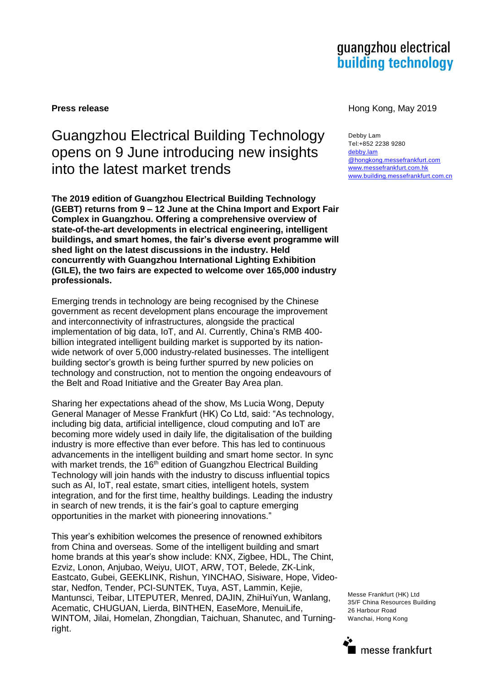# guangzhou electrical **building technology**

# Guangzhou Electrical Building Technology opens on 9 June introducing new insights into the latest market trends

**The 2019 edition of Guangzhou Electrical Building Technology (GEBT) returns from 9 – 12 June at the China Import and Export Fair Complex in Guangzhou. Offering a comprehensive overview of state-of-the-art developments in electrical engineering, intelligent buildings, and smart homes, the fair's diverse event programme will shed light on the latest discussions in the industry. Held concurrently with Guangzhou International Lighting Exhibition (GILE), the two fairs are expected to welcome over 165,000 industry professionals.**

Emerging trends in technology are being recognised by the Chinese government as recent development plans encourage the improvement and interconnectivity of infrastructures, alongside the practical implementation of big data, IoT, and AI. Currently, China's RMB 400 billion integrated intelligent building market is supported by its nationwide network of over 5,000 industry-related businesses. The intelligent building sector's growth is being further spurred by new policies on technology and construction, not to mention the ongoing endeavours of the Belt and Road Initiative and the Greater Bay Area plan.

Sharing her expectations ahead of the show, Ms Lucia Wong, Deputy General Manager of Messe Frankfurt (HK) Co Ltd, said: "As technology, including big data, artificial intelligence, cloud computing and IoT are becoming more widely used in daily life, the digitalisation of the building industry is more effective than ever before. This has led to continuous advancements in the intelligent building and smart home sector. In sync with market trends, the 16<sup>th</sup> edition of Guangzhou Electrical Building Technology will join hands with the industry to discuss influential topics such as AI, IoT, real estate, smart cities, intelligent hotels, system integration, and for the first time, healthy buildings. Leading the industry in search of new trends, it is the fair's goal to capture emerging opportunities in the market with pioneering innovations."

This year's exhibition welcomes the presence of renowned exhibitors from China and overseas. Some of the intelligent building and smart home brands at this year's show include: KNX, Zigbee, HDL, The Chint, Ezviz, Lonon, Anjubao, Weiyu, UIOT, ARW, TOT, Belede, ZK-Link, Eastcato, Gubei, GEEKLINK, Rishun, YINCHAO, Sisiware, Hope, Videostar, Nedfon, Tender, PCI-SUNTEK, Tuya, AST, Lammin, Kejie, Mantunsci, Teibar, LITEPUTER, Menred, DAJIN, ZhiHuiYun, Wanlang, Acematic, CHUGUAN, Lierda, BINTHEN, EaseMore, MenuiLife, WINTOM, Jilai, Homelan, Zhongdian, Taichuan, Shanutec, and Turningright.

**Press release Hong Kong, May 2019** 

Debby Lam Tel:+852 2238 9280 [debby.lam](mailto:Debby.Lam@hongkong.messefrankfurt.com) [@hongkong.messefrankfurt.com](mailto:Debby.Lam@hongkong.messefrankfurt.com) [www.messefrankfurt.com.hk](http://www.messefrankfurt.com.hk/) [www.building.messefrankfurt.com.cn](http://www.building.messefrankfurt.com.cn/)

Messe Frankfurt (HK) Ltd 35/F China Resources Building 26 Harbour Road Wanchai, Hong Kong

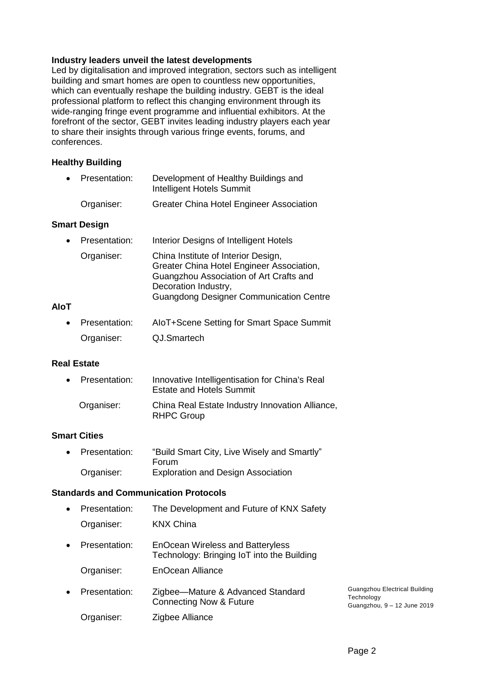# **Industry leaders unveil the latest developments**

Led by digitalisation and improved integration, sectors such as intelligent building and smart homes are open to countless new opportunities, which can eventually reshape the building industry. GEBT is the ideal professional platform to reflect this changing environment through its wide-ranging fringe event programme and influential exhibitors. At the forefront of the sector, GEBT invites leading industry players each year to share their insights through various fringe events, forums, and conferences.

# **Healthy Building**

| • Presentation: |            | Development of Healthy Buildings and<br>Intelligent Hotels Summit |
|-----------------|------------|-------------------------------------------------------------------|
|                 | Organiser: | <b>Greater China Hotel Engineer Association</b>                   |

### **Smart Design**

| $\bullet$   | Presentation: | Interior Designs of Intelligent Hotels                                                                                                                                                                |  |
|-------------|---------------|-------------------------------------------------------------------------------------------------------------------------------------------------------------------------------------------------------|--|
|             | Organiser:    | China Institute of Interior Design,<br>Greater China Hotel Engineer Association,<br>Guangzhou Association of Art Crafts and<br>Decoration Industry,<br><b>Guangdong Designer Communication Centre</b> |  |
| <b>AloT</b> |               |                                                                                                                                                                                                       |  |
| $\bullet$   | Presentation: | AloT+Scene Setting for Smart Space Summit                                                                                                                                                             |  |

| Organiser: | QJ.Smartech |
|------------|-------------|
|            |             |

# **Real Estate**

| • Presentation: | Innovative Intelligentisation for China's Real<br><b>Estate and Hotels Summit</b> |
|-----------------|-----------------------------------------------------------------------------------|
| Organiser:      | China Real Estate Industry Innovation Alliance,<br><b>RHPC Group</b>              |

# **Smart Cities**

| • Presentation: | "Build Smart City, Live Wisely and Smartly" |
|-----------------|---------------------------------------------|
|                 | <b>Forum</b>                                |
| Organiser:      | <b>Exploration and Design Association</b>   |

#### **Standards and Communication Protocols**

| $\bullet$ | The Development and Future of KNX Safety<br>Presentation: |                                                                                       |                                                                            |
|-----------|-----------------------------------------------------------|---------------------------------------------------------------------------------------|----------------------------------------------------------------------------|
|           | Organiser:                                                | <b>KNX China</b>                                                                      |                                                                            |
| $\bullet$ | Presentation:                                             | <b>EnOcean Wireless and Batteryless</b><br>Technology: Bringing IoT into the Building |                                                                            |
|           | Organiser:                                                | EnOcean Alliance                                                                      |                                                                            |
| $\bullet$ | Presentation:                                             | Zigbee-Mature & Advanced Standard<br><b>Connecting Now &amp; Future</b>               | Guangzhou Electrical Building<br>Technology<br>Guangzhou, 9 - 12 June 2019 |
|           | Organiser:                                                | Zigbee Alliance                                                                       |                                                                            |